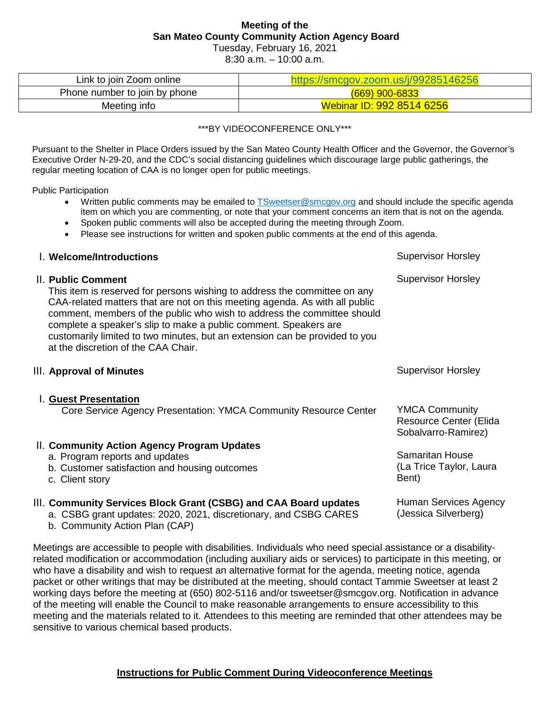# **Meeting of the San Mateo County Community Action Agency Board**

Tuesday, February 16, 2021

8:30 a.m. – 10:00 a.m.

| Link to join Zoom online      | V/smcgov.zoom.us/j/99285146256 |  |
|-------------------------------|--------------------------------|--|
| Phone number to join by phone | $(669)$ 900-6833               |  |
| Meeting info                  | Webinar ID: 992 8514 6256      |  |

#### \*\*\*BY VIDEOCONFERENCE ONLY\*\*\*

Pursuant to the Shelter in Place Orders issued by the San Mateo County Health Officer and the Governor, the Governor's Executive Order N-29-20, and the CDC's social distancing guidelines which discourage large public gatherings, the regular meeting location of CAA is no longer open for public meetings.

Public Participation

- Written public comments may be emailed to [TSweetser@smcgov.org](mailto:TSweetser@smcgov.org) and should include the specific agenda item on which you are commenting, or note that your comment concerns an item that is not on the agenda.
- Spoken public comments will also be accepted during the meeting through Zoom.
- Please see instructions for written and spoken public comments at the end of this agenda.

| l. Welcome/Introductions                                                                                                                                                                                                                                                                                                                                                                                                                            | <b>Supervisor Horsley</b>                                              |
|-----------------------------------------------------------------------------------------------------------------------------------------------------------------------------------------------------------------------------------------------------------------------------------------------------------------------------------------------------------------------------------------------------------------------------------------------------|------------------------------------------------------------------------|
| II. Public Comment<br>This item is reserved for persons wishing to address the committee on any<br>CAA-related matters that are not on this meeting agenda. As with all public<br>comment, members of the public who wish to address the committee should<br>complete a speaker's slip to make a public comment. Speakers are<br>customarily limited to two minutes, but an extension can be provided to you<br>at the discretion of the CAA Chair. | <b>Supervisor Horsley</b>                                              |
| III. Approval of Minutes                                                                                                                                                                                                                                                                                                                                                                                                                            | <b>Supervisor Horsley</b>                                              |
| I. Guest Presentation<br>Core Service Agency Presentation: YMCA Community Resource Center                                                                                                                                                                                                                                                                                                                                                           | <b>YMCA Community</b><br>Resource Center (Elida<br>Sobalvarro-Ramirez) |
| II. Community Action Agency Program Updates<br>a. Program reports and updates<br>b. Customer satisfaction and housing outcomes<br>c. Client story                                                                                                                                                                                                                                                                                                   | <b>Samaritan House</b><br>(La Trice Taylor, Laura<br>Bent)             |
| III. Community Services Block Grant (CSBG) and CAA Board updates<br>a. CSBG grant updates: 2020, 2021, discretionary, and CSBG CARES<br>b. Community Action Plan (CAP)                                                                                                                                                                                                                                                                              | Human Services Agency<br>(Jessica Silverberg)                          |

Meetings are accessible to people with disabilities. Individuals who need special assistance or a disabilityrelated modification or accommodation (including auxiliary aids or services) to participate in this meeting, or who have a disability and wish to request an alternative format for the agenda, meeting notice, agenda packet or other writings that may be distributed at the meeting, should contact Tammie Sweetser at least 2 working days before the meeting at (650) 802-5116 and/or tsweetser@smcgov.org. Notification in advance of the meeting will enable the Council to make reasonable arrangements to ensure accessibility to this meeting and the materials related to it. Attendees to this meeting are reminded that other attendees may be sensitive to various chemical based products.

### **Instructions for Public Comment During Videoconference Meetings**